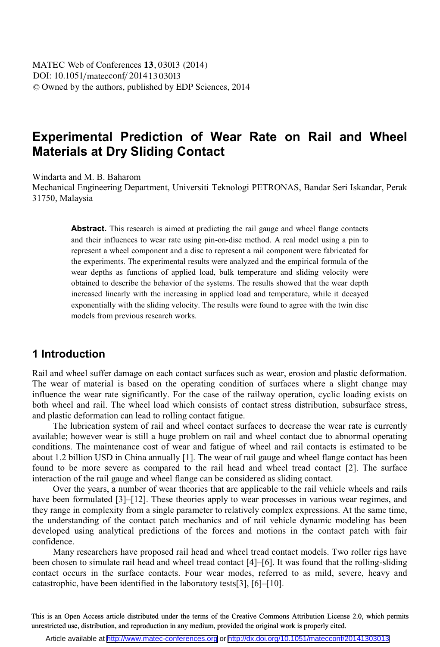# **Experimental Prediction of Wear Rate on Rail and Wheel Materials at Dry Sliding Contact**

Windarta and M. B. Baharom

Mechanical Engineering Department, Universiti Teknologi PETRONAS, Bandar Seri Iskandar, Perak 31750, Malaysia

> Abstract. This research is aimed at predicting the rail gauge and wheel flange contacts and their influences to wear rate using pin-on-disc method. A real model using a pin to represent a wheel component and a disc to represent a rail component were fabricated for the experiments. The experimental results were analyzed and the empirical formula of the wear depths as functions of applied load, bulk temperature and sliding velocity were obtained to describe the behavior of the systems. The results showed that the wear depth increased linearly with the increasing in applied load and temperature, while it decayed exponentially with the sliding velocity. The results were found to agree with the twin disc models from previous research works.

### **1 Introduction**

Rail and wheel suffer damage on each contact surfaces such as wear, erosion and plastic deformation. The wear of material is based on the operating condition of surfaces where a slight change may influence the wear rate significantly. For the case of the railway operation, cyclic loading exists on both wheel and rail. The wheel load which consists of contact stress distribution, subsurface stress, and plastic deformation can lead to rolling contact fatigue.

The lubrication system of rail and wheel contact surfaces to decrease the wear rate is currently available; however wear is still a huge problem on rail and wheel contact due to abnormal operating conditions. The maintenance cost of wear and fatigue of wheel and rail contacts is estimated to be about 1.2 billion USD in China annually [1]. The wear of rail gauge and wheel flange contact has been found to be more severe as compared to the rail head and wheel tread contact [2]. The surface interaction of the rail gauge and wheel flange can be considered as sliding contact.

Over the years, a number of wear theories that are applicable to the rail vehicle wheels and rails have been formulated [3]–[12]. These theories apply to wear processes in various wear regimes, and they range in complexity from a single parameter to relatively complex expressions. At the same time, the understanding of the contact patch mechanics and of rail vehicle dynamic modeling has been developed using analytical predictions of the forces and motions in the contact patch with fair confidence.

 Many researchers have proposed rail head and wheel tread contact models. Two roller rigs have been chosen to simulate rail head and wheel tread contact [4]–[6]. It was found that the rolling-sliding contact occurs in the surface contacts. Four wear modes, referred to as mild, severe, heavy and catastrophic, have been identified in the laboratory tests[3], [6]–[10].

This is an Open Access article distributed under the terms of the Creative Commons Attribution License 2.0, which permits unrestricted use, distribution, and reproduction in any medium, provided the original work is properly cited.

Article available at <http://www.matec-conferences.org> or <http://dx.doi.org/10.1051/matecconf/20141303013>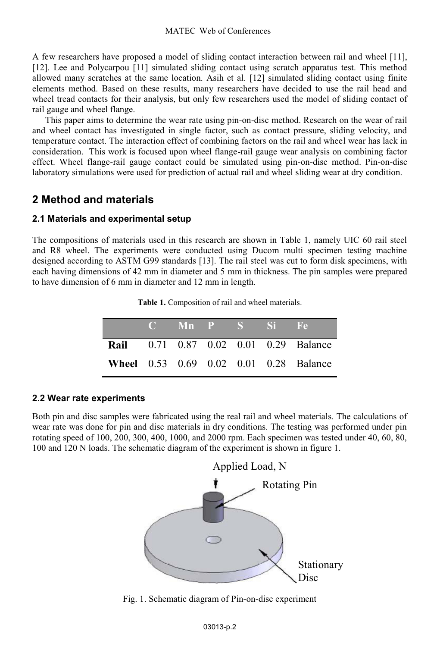A few researchers have proposed a model of sliding contact interaction between rail and wheel [11], [12]. Lee and Polycarpou [11] simulated sliding contact using scratch apparatus test. This method allowed many scratches at the same location. Asih et al. [12] simulated sliding contact using finite elements method. Based on these results, many researchers have decided to use the rail head and wheel tread contacts for their analysis, but only few researchers used the model of sliding contact of rail gauge and wheel flange.

This paper aims to determine the wear rate using pin-on-disc method. Research on the wear of rail and wheel contact has investigated in single factor, such as contact pressure, sliding velocity, and temperature contact. The interaction effect of combining factors on the rail and wheel wear has lack in consideration. This work is focused upon wheel flange-rail gauge wear analysis on combining factor effect. Wheel flange-rail gauge contact could be simulated using pin-on-disc method. Pin-on-disc laboratory simulations were used for prediction of actual rail and wheel sliding wear at dry condition.

## **2 Method and materials**

#### **2.1 Materials and experimental setup**

The compositions of materials used in this research are shown in Table 1, namely UIC 60 rail steel and R8 wheel. The experiments were conducted using Ducom multi specimen testing machine designed according to ASTM G99 standards [13]. The rail steel was cut to form disk specimens, with each having dimensions of 42 mm in diameter and 5 mm in thickness. The pin samples were prepared to have dimension of 6 mm in diameter and 12 mm in length.

|  | iC Mn P S Si Fe |  |                                              |
|--|-----------------|--|----------------------------------------------|
|  |                 |  | <b>Rail</b> 0.71 0.87 0.02 0.01 0.29 Balance |
|  |                 |  | Wheel 0.53 0.69 0.02 0.01 0.28 Balance       |

**Table 1.** Composition of rail and wheel materials.

#### **2.2 Wear rate experiments**

Both pin and disc samples were fabricated using the real rail and wheel materials. The calculations of wear rate was done for pin and disc materials in dry conditions. The testing was performed under pin rotating speed of 100, 200, 300, 400, 1000, and 2000 rpm. Each specimen was tested under 40, 60, 80, 100 and 120 N loads. The schematic diagram of the experiment is shown in figure 1.



Fig. 1. Schematic diagram of Pin-on-disc experiment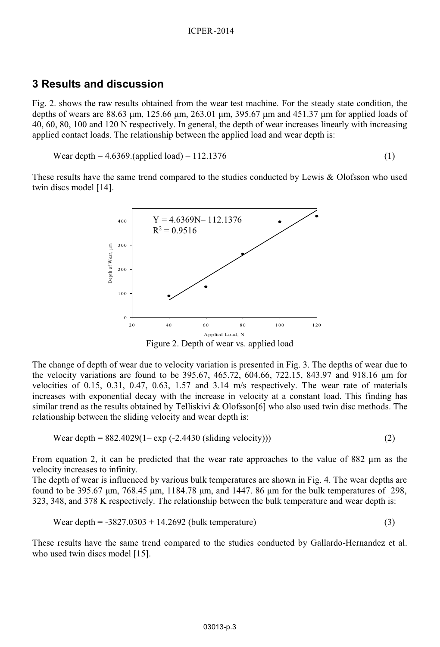### **3 Results and discussion**

Fig. 2. shows the raw results obtained from the wear test machine. For the steady state condition, the depths of wears are 88.63 μm, 125.66 μm, 263.01 μm, 395.67 μm and 451.37 μm for applied loads of 40, 60, 80, 100 and 120 N respectively. In general, the depth of wear increases linearly with increasing applied contact loads. The relationship between the applied load and wear depth is:

```
Wear depth = 4.6369.(applied load) – 112.1376 (1)
```
These results have the same trend compared to the studies conducted by Lewis & Olofsson who used twin discs model [14].



Figure 2. Depth of wear vs. applied load

The change of depth of wear due to velocity variation is presented in Fig. 3. The depths of wear due to the velocity variations are found to be 395.67, 465.72, 604.66, 722.15, 843.97 and 918.16 μm for velocities of 0.15, 0.31, 0.47, 0.63, 1.57 and 3.14 m/s respectively. The wear rate of materials increases with exponential decay with the increase in velocity at a constant load. This finding has similar trend as the results obtained by Telliskivi & Olofsson[6] who also used twin disc methods. The relationship between the sliding velocity and wear depth is:

\n
$$
\text{Wear depth} = 882.4029(1 - \exp(-2.4430 \, \text{(sliding velocity)}))
$$
\n

From equation 2, it can be predicted that the wear rate approaches to the value of 882 μm as the velocity increases to infinity.

The depth of wear is influenced by various bulk temperatures are shown in Fig. 4. The wear depths are found to be 395.67 μm, 768.45 μm, 1184.78 μm, and 1447. 86 μm for the bulk temperatures of 298, 323, 348, and 378 K respectively. The relationship between the bulk temperature and wear depth is:

$$
Wear depth = -3827.0303 + 14.2692 \text{ (bulk temperature)} \tag{3}
$$

These results have the same trend compared to the studies conducted by Gallardo-Hernandez et al. who used twin discs model [15].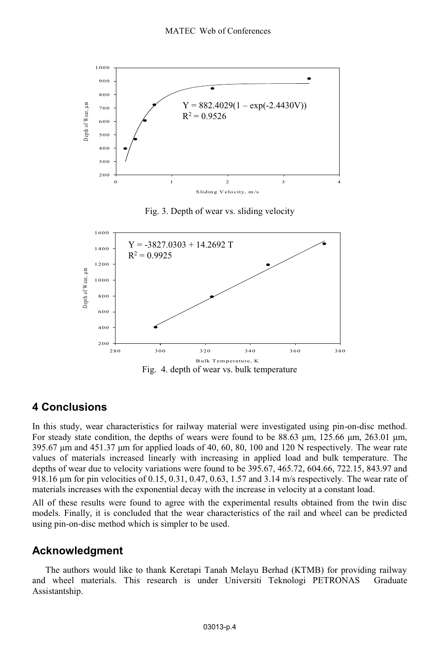

Fig. 3. Depth of wear vs. sliding velocity



### **4 Conclusions**

In this study, wear characteristics for railway material were investigated using pin-on-disc method. For steady state condition, the depths of wears were found to be 88.63 μm, 125.66 μm, 263.01 μm, 395.67 μm and 451.37 μm for applied loads of 40, 60, 80, 100 and 120 N respectively. The wear rate values of materials increased linearly with increasing in applied load and bulk temperature. The depths of wear due to velocity variations were found to be 395.67, 465.72, 604.66, 722.15, 843.97 and 918.16 μm for pin velocities of 0.15, 0.31, 0.47, 0.63, 1.57 and 3.14 m/s respectively. The wear rate of materials increases with the exponential decay with the increase in velocity at a constant load.

All of these results were found to agree with the experimental results obtained from the twin disc models. Finally, it is concluded that the wear characteristics of the rail and wheel can be predicted using pin-on-disc method which is simpler to be used.

### **Acknowledgment**

The authors would like to thank Keretapi Tanah Melayu Berhad (KTMB) for providing railway and wheel materials. This research is under Universiti Teknologi PETRONAS Graduate Assistantship.